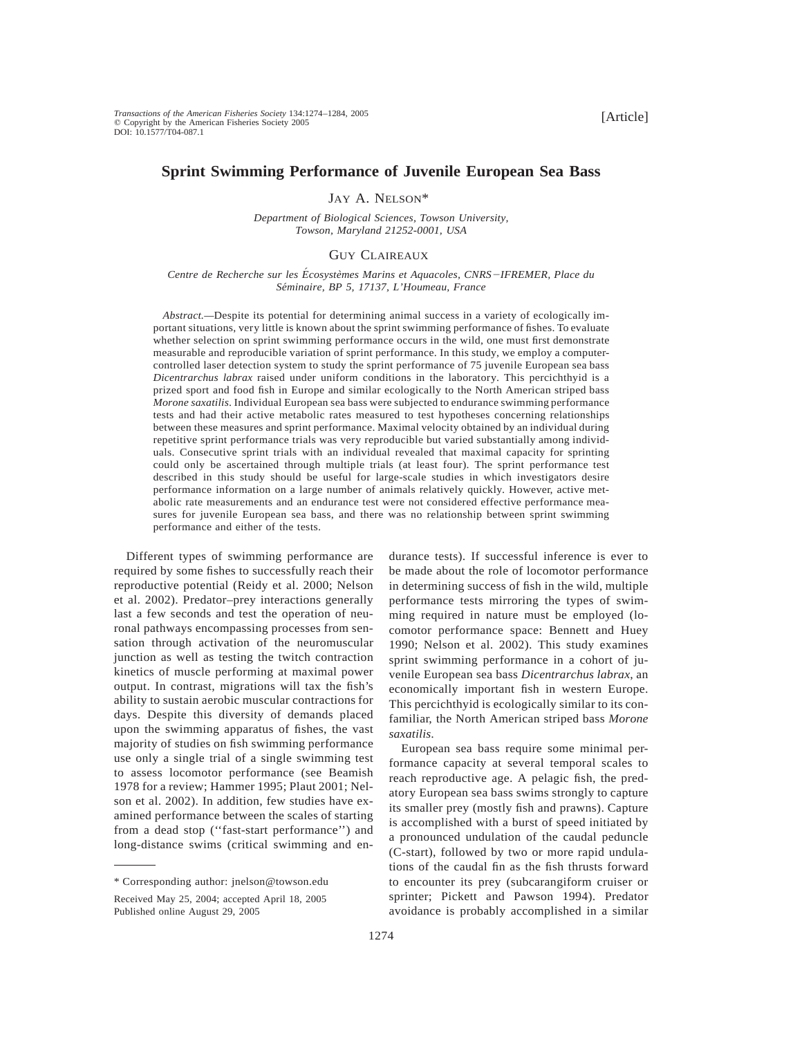# **Sprint Swimming Performance of Juvenile European Sea Bass**

JAY A. NELSON\*

*Department of Biological Sciences, Towson University, Towson, Maryland 21252-0001, USA*

# GUY CLAIREAUX

*Centre de Recherche sur les E´ cosyste`mes Marins et Aquacoles, CNRS*2*IFREMER, Place du Se´minaire, BP 5, 17137, L'Houmeau, France*

*Abstract.—*Despite its potential for determining animal success in a variety of ecologically important situations, very little is known about the sprint swimming performance of fishes. To evaluate whether selection on sprint swimming performance occurs in the wild, one must first demonstrate measurable and reproducible variation of sprint performance. In this study, we employ a computercontrolled laser detection system to study the sprint performance of 75 juvenile European sea bass *Dicentrarchus labrax* raised under uniform conditions in the laboratory. This percichthyid is a prized sport and food fish in Europe and similar ecologically to the North American striped bass *Morone saxatilis*. Individual European sea bass were subjected to endurance swimming performance tests and had their active metabolic rates measured to test hypotheses concerning relationships between these measures and sprint performance. Maximal velocity obtained by an individual during repetitive sprint performance trials was very reproducible but varied substantially among individuals. Consecutive sprint trials with an individual revealed that maximal capacity for sprinting could only be ascertained through multiple trials (at least four). The sprint performance test described in this study should be useful for large-scale studies in which investigators desire performance information on a large number of animals relatively quickly. However, active metabolic rate measurements and an endurance test were not considered effective performance measures for juvenile European sea bass, and there was no relationship between sprint swimming performance and either of the tests.

Different types of swimming performance are required by some fishes to successfully reach their reproductive potential (Reidy et al. 2000; Nelson et al. 2002). Predator–prey interactions generally last a few seconds and test the operation of neuronal pathways encompassing processes from sensation through activation of the neuromuscular junction as well as testing the twitch contraction kinetics of muscle performing at maximal power output. In contrast, migrations will tax the fish's ability to sustain aerobic muscular contractions for days. Despite this diversity of demands placed upon the swimming apparatus of fishes, the vast majority of studies on fish swimming performance use only a single trial of a single swimming test to assess locomotor performance (see Beamish 1978 for a review; Hammer 1995; Plaut 2001; Nelson et al. 2002). In addition, few studies have examined performance between the scales of starting from a dead stop (''fast-start performance'') and long-distance swims (critical swimming and endurance tests). If successful inference is ever to be made about the role of locomotor performance in determining success of fish in the wild, multiple performance tests mirroring the types of swimming required in nature must be employed (locomotor performance space: Bennett and Huey 1990; Nelson et al. 2002). This study examines sprint swimming performance in a cohort of juvenile European sea bass *Dicentrarchus labrax*, an economically important fish in western Europe. This percichthyid is ecologically similar to its confamiliar, the North American striped bass *Morone saxatilis*.

European sea bass require some minimal performance capacity at several temporal scales to reach reproductive age. A pelagic fish, the predatory European sea bass swims strongly to capture its smaller prey (mostly fish and prawns). Capture is accomplished with a burst of speed initiated by a pronounced undulation of the caudal peduncle (C-start), followed by two or more rapid undulations of the caudal fin as the fish thrusts forward to encounter its prey (subcarangiform cruiser or sprinter; Pickett and Pawson 1994). Predator avoidance is probably accomplished in a similar

<sup>\*</sup> Corresponding author: jnelson@towson.edu

Received May 25, 2004; accepted April 18, 2005 Published online August 29, 2005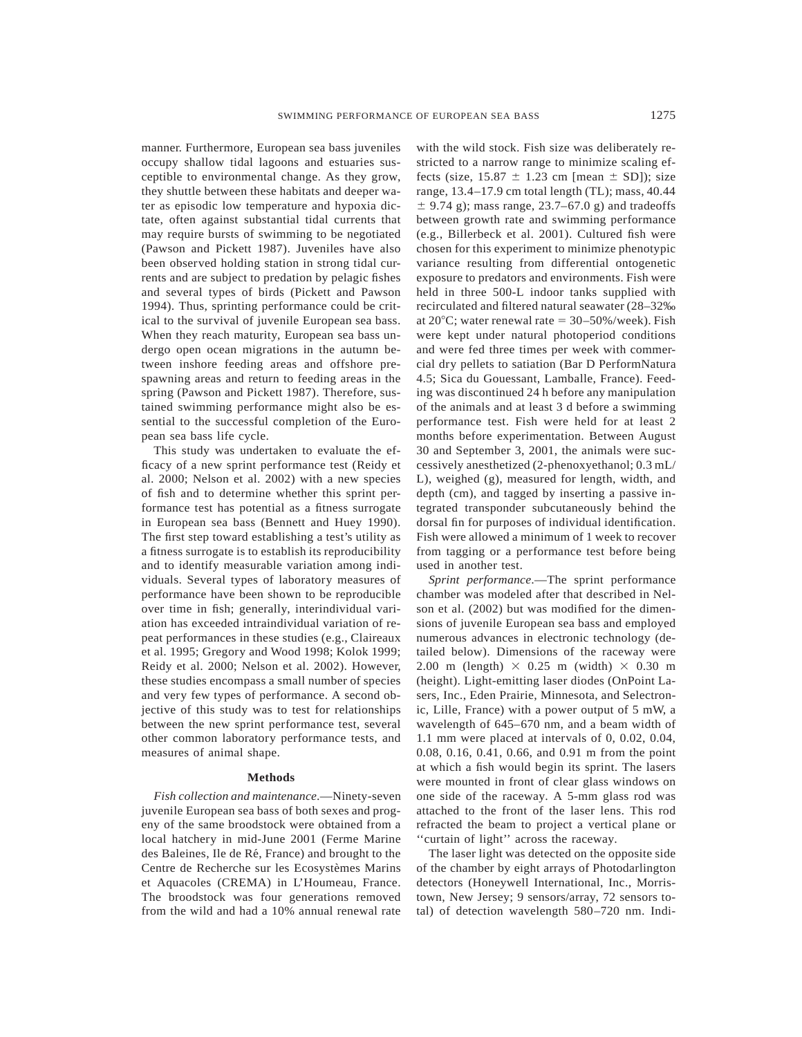manner. Furthermore, European sea bass juveniles occupy shallow tidal lagoons and estuaries susceptible to environmental change. As they grow, they shuttle between these habitats and deeper water as episodic low temperature and hypoxia dictate, often against substantial tidal currents that may require bursts of swimming to be negotiated (Pawson and Pickett 1987). Juveniles have also been observed holding station in strong tidal currents and are subject to predation by pelagic fishes and several types of birds (Pickett and Pawson 1994). Thus, sprinting performance could be critical to the survival of juvenile European sea bass. When they reach maturity, European sea bass undergo open ocean migrations in the autumn between inshore feeding areas and offshore prespawning areas and return to feeding areas in the spring (Pawson and Pickett 1987). Therefore, sustained swimming performance might also be essential to the successful completion of the European sea bass life cycle.

This study was undertaken to evaluate the efficacy of a new sprint performance test (Reidy et al. 2000; Nelson et al. 2002) with a new species of fish and to determine whether this sprint performance test has potential as a fitness surrogate in European sea bass (Bennett and Huey 1990). The first step toward establishing a test's utility as a fitness surrogate is to establish its reproducibility and to identify measurable variation among individuals. Several types of laboratory measures of performance have been shown to be reproducible over time in fish; generally, interindividual variation has exceeded intraindividual variation of repeat performances in these studies (e.g., Claireaux et al. 1995; Gregory and Wood 1998; Kolok 1999; Reidy et al. 2000; Nelson et al. 2002). However, these studies encompass a small number of species and very few types of performance. A second objective of this study was to test for relationships between the new sprint performance test, several other common laboratory performance tests, and measures of animal shape.

#### **Methods**

*Fish collection and maintenance*.—Ninety-seven juvenile European sea bass of both sexes and progeny of the same broodstock were obtained from a local hatchery in mid-June 2001 (Ferme Marine des Baleines, Ile de Ré, France) and brought to the Centre de Recherche sur les Ecosystèmes Marins et Aquacoles (CREMA) in L'Houmeau, France. The broodstock was four generations removed from the wild and had a 10% annual renewal rate with the wild stock. Fish size was deliberately restricted to a narrow range to minimize scaling effects (size,  $15.87 \pm 1.23$  cm [mean  $\pm$  SD]); size range, 13.4–17.9 cm total length (TL); mass, 40.44  $\pm$  9.74 g); mass range, 23.7–67.0 g) and tradeoffs between growth rate and swimming performance (e.g., Billerbeck et al. 2001). Cultured fish were chosen for this experiment to minimize phenotypic variance resulting from differential ontogenetic exposure to predators and environments. Fish were held in three 500-L indoor tanks supplied with recirculated and filtered natural seawater (28–32‰ at  $20^{\circ}$ C; water renewal rate =  $30-50\%$ /week). Fish were kept under natural photoperiod conditions and were fed three times per week with commercial dry pellets to satiation (Bar D PerformNatura 4.5; Sica du Gouessant, Lamballe, France). Feeding was discontinued 24 h before any manipulation of the animals and at least 3 d before a swimming performance test. Fish were held for at least 2 months before experimentation. Between August 30 and September 3, 2001, the animals were successively anesthetized (2-phenoxyethanol; 0.3 mL/ L), weighed (g), measured for length, width, and depth (cm), and tagged by inserting a passive integrated transponder subcutaneously behind the dorsal fin for purposes of individual identification. Fish were allowed a minimum of 1 week to recover from tagging or a performance test before being used in another test.

*Sprint performance*.—The sprint performance chamber was modeled after that described in Nelson et al. (2002) but was modified for the dimensions of juvenile European sea bass and employed numerous advances in electronic technology (detailed below). Dimensions of the raceway were 2.00 m (length)  $\times$  0.25 m (width)  $\times$  0.30 m (height). Light-emitting laser diodes (OnPoint Lasers, Inc., Eden Prairie, Minnesota, and Selectronic, Lille, France) with a power output of 5 mW, a wavelength of 645–670 nm, and a beam width of 1.1 mm were placed at intervals of 0, 0.02, 0.04, 0.08, 0.16, 0.41, 0.66, and 0.91 m from the point at which a fish would begin its sprint. The lasers were mounted in front of clear glass windows on one side of the raceway. A 5-mm glass rod was attached to the front of the laser lens. This rod refracted the beam to project a vertical plane or ''curtain of light'' across the raceway.

The laser light was detected on the opposite side of the chamber by eight arrays of Photodarlington detectors (Honeywell International, Inc., Morristown, New Jersey; 9 sensors/array, 72 sensors total) of detection wavelength 580–720 nm. Indi-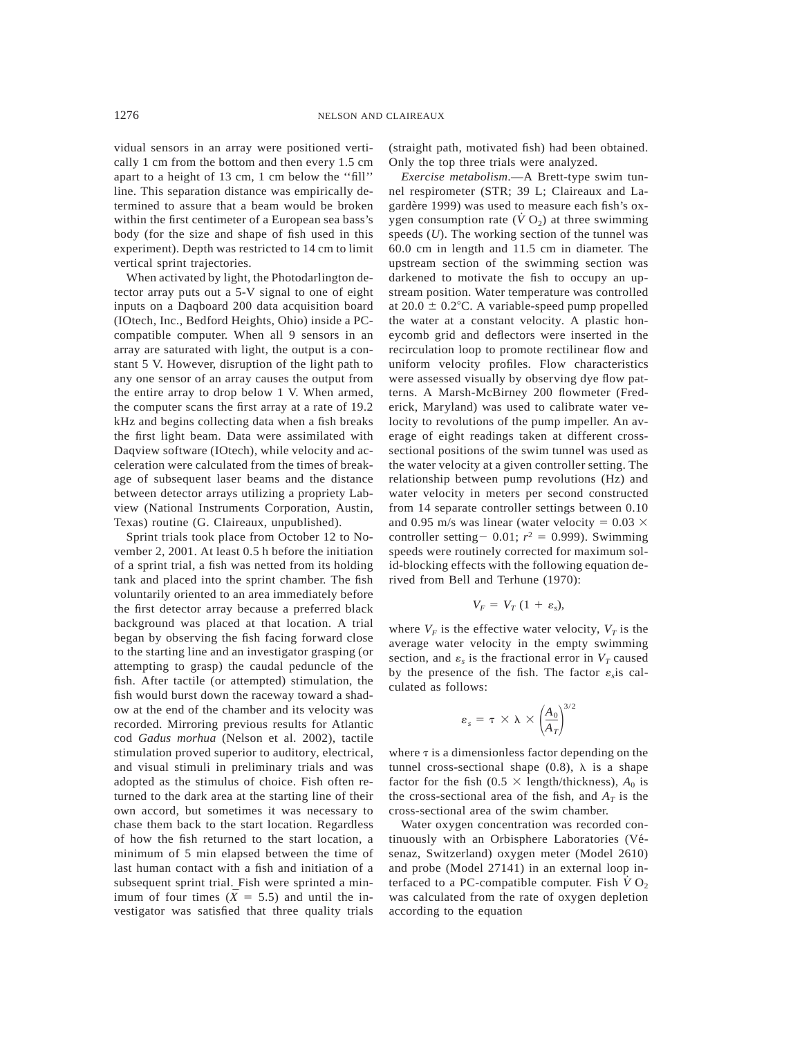vidual sensors in an array were positioned vertically 1 cm from the bottom and then every 1.5 cm apart to a height of 13 cm, 1 cm below the ''fill'' line. This separation distance was empirically determined to assure that a beam would be broken within the first centimeter of a European sea bass's body (for the size and shape of fish used in this experiment). Depth was restricted to 14 cm to limit vertical sprint trajectories.

When activated by light, the Photodarlington detector array puts out a 5-V signal to one of eight inputs on a Daqboard 200 data acquisition board (IOtech, Inc., Bedford Heights, Ohio) inside a PCcompatible computer. When all 9 sensors in an array are saturated with light, the output is a constant 5 V. However, disruption of the light path to any one sensor of an array causes the output from the entire array to drop below 1 V. When armed, the computer scans the first array at a rate of 19.2 kHz and begins collecting data when a fish breaks the first light beam. Data were assimilated with Daqview software (IOtech), while velocity and acceleration were calculated from the times of breakage of subsequent laser beams and the distance between detector arrays utilizing a propriety Labview (National Instruments Corporation, Austin, Texas) routine (G. Claireaux, unpublished).

Sprint trials took place from October 12 to November 2, 2001. At least 0.5 h before the initiation of a sprint trial, a fish was netted from its holding tank and placed into the sprint chamber. The fish voluntarily oriented to an area immediately before the first detector array because a preferred black background was placed at that location. A trial began by observing the fish facing forward close to the starting line and an investigator grasping (or attempting to grasp) the caudal peduncle of the fish. After tactile (or attempted) stimulation, the fish would burst down the raceway toward a shadow at the end of the chamber and its velocity was recorded. Mirroring previous results for Atlantic cod *Gadus morhua* (Nelson et al. 2002), tactile stimulation proved superior to auditory, electrical, and visual stimuli in preliminary trials and was adopted as the stimulus of choice. Fish often returned to the dark area at the starting line of their own accord, but sometimes it was necessary to chase them back to the start location. Regardless of how the fish returned to the start location, a minimum of 5 min elapsed between the time of last human contact with a fish and initiation of a subsequent sprint trial. Fish were sprinted a minimum of four times ( $\bar{X} = 5.5$ ) and until the investigator was satisfied that three quality trials (straight path, motivated fish) had been obtained. Only the top three trials were analyzed.

*Exercise metabolism*.—A Brett-type swim tunnel respirometer (STR; 39 L; Claireaux and Lagardère 1999) was used to measure each fish's oxygen consumption rate  $(\dot{V} O_2)$  at three swimming speeds (*U*). The working section of the tunnel was 60.0 cm in length and 11.5 cm in diameter. The upstream section of the swimming section was darkened to motivate the fish to occupy an upstream position. Water temperature was controlled at  $20.0 \pm 0.2$ °C. A variable-speed pump propelled the water at a constant velocity. A plastic honeycomb grid and deflectors were inserted in the recirculation loop to promote rectilinear flow and uniform velocity profiles. Flow characteristics were assessed visually by observing dye flow patterns. A Marsh-McBirney 200 flowmeter (Frederick, Maryland) was used to calibrate water velocity to revolutions of the pump impeller. An average of eight readings taken at different crosssectional positions of the swim tunnel was used as the water velocity at a given controller setting. The relationship between pump revolutions (Hz) and water velocity in meters per second constructed from 14 separate controller settings between 0.10 and 0.95 m/s was linear (water velocity =  $0.03 \times$ controller setting - 0.01;  $r^2$  = 0.999). Swimming speeds were routinely corrected for maximum solid-blocking effects with the following equation derived from Bell and Terhune (1970):

$$
V_F = V_T (1 + \varepsilon_s),
$$

where  $V_F$  is the effective water velocity,  $V_T$  is the average water velocity in the empty swimming section, and  $\varepsilon_s$  is the fractional error in  $V_T$  caused by the presence of the fish. The factor  $\varepsilon$ <sub>s</sub> is calculated as follows:

$$
\varepsilon_{s} = \tau \times \lambda \times \left(\frac{A_{0}}{A_{T}}\right)^{3/2}
$$

where  $\tau$  is a dimensionless factor depending on the tunnel cross-sectional shape  $(0.8)$ ,  $\lambda$  is a shape factor for the fish ( $0.5 \times$  length/thickness),  $A_0$  is the cross-sectional area of the fish, and  $A_T$  is the cross-sectional area of the swim chamber.

Water oxygen concentration was recorded continuously with an Orbisphere Laboratories (Vésenaz, Switzerland) oxygen meter (Model 2610) and probe (Model 27141) in an external loop interfaced to a PC-compatible computer. Fish  $\dot{V}O_2$ was calculated from the rate of oxygen depletion according to the equation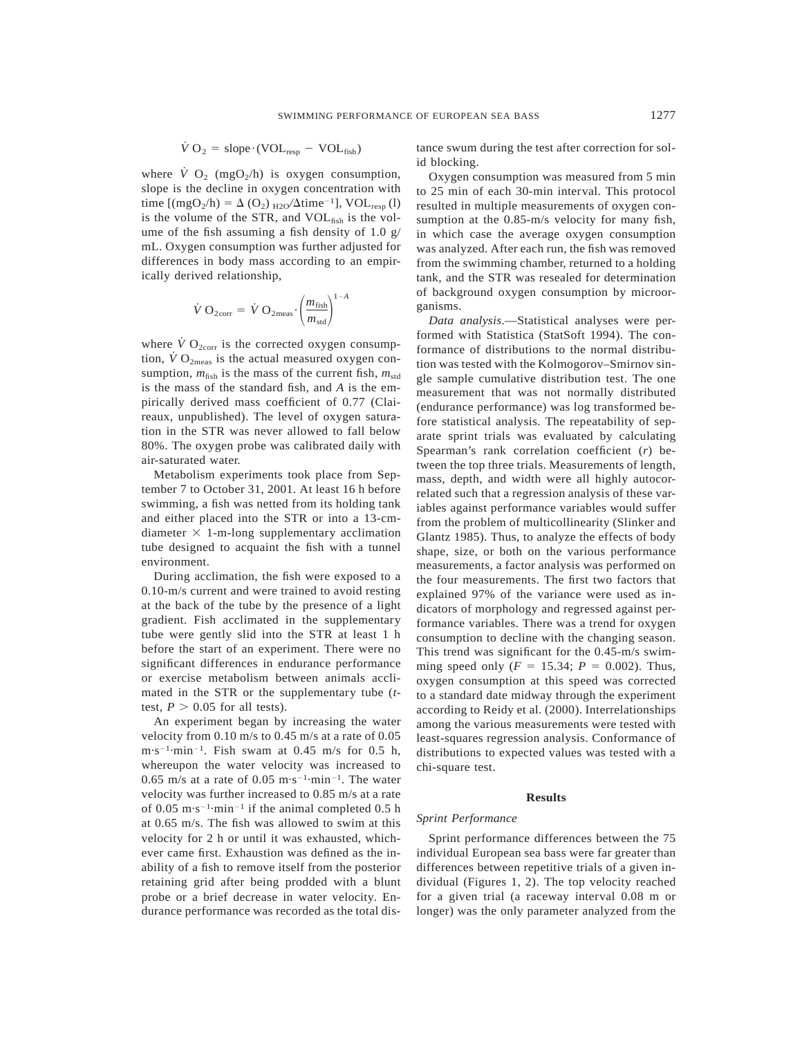$$
\dot{V} O_2 = slope \cdot (VOL_{resp} - VOL_{fish})
$$

where  $\dot{V}$  O<sub>2</sub> (mgO<sub>2</sub>/h) is oxygen consumption, slope is the decline in oxygen concentration with time  $[(mgO<sub>2</sub>/h) = \Delta (O<sub>2</sub>)_{H2O}/\Delta \text{time}^{-1}]$ , VOL<sub>resp</sub> (l) is the volume of the STR, and  $VOL<sub>fish</sub>$  is the volume of the fish assuming a fish density of 1.0 g/ mL. Oxygen consumption was further adjusted for differences in body mass according to an empirically derived relationship,

$$
\dot{V} O_{2\text{corr}} = \dot{V} O_{2\text{meas}} \cdot \left(\frac{m_{\text{fish}}}{m_{\text{std}}}\right)^{1-A}
$$

where  $\dot{V}$  O<sub>2corr</sub> is the corrected oxygen consumption,  $\dot{V}O_{2\text{meas}}$  is the actual measured oxygen consumption,  $m_{\text{fish}}$  is the mass of the current fish,  $m_{\text{std}}$ is the mass of the standard fish, and *A* is the empirically derived mass coefficient of 0.77 (Claireaux, unpublished). The level of oxygen saturation in the STR was never allowed to fall below 80%. The oxygen probe was calibrated daily with air-saturated water.

Metabolism experiments took place from September 7 to October 31, 2001. At least 16 h before swimming, a fish was netted from its holding tank and either placed into the STR or into a 13-cmdiameter  $\times$  1-m-long supplementary acclimation tube designed to acquaint the fish with a tunnel environment.

During acclimation, the fish were exposed to a 0.10-m/s current and were trained to avoid resting at the back of the tube by the presence of a light gradient. Fish acclimated in the supplementary tube were gently slid into the STR at least 1 h before the start of an experiment. There were no significant differences in endurance performance or exercise metabolism between animals acclimated in the STR or the supplementary tube (*t*test,  $P > 0.05$  for all tests).

An experiment began by increasing the water velocity from 0.10 m/s to 0.45 m/s at a rate of 0.05  $m \cdot s^{-1}$ ·min<sup>-1</sup>. Fish swam at 0.45 m/s for 0.5 h, whereupon the water velocity was increased to 0.65 m/s at a rate of 0.05 m $\cdot$ s<sup>-1</sup> $\cdot$ min<sup>-1</sup>. The water velocity was further increased to 0.85 m/s at a rate of 0.05 m·s<sup>-1</sup>·min<sup>-1</sup> if the animal completed 0.5 h at 0.65 m/s. The fish was allowed to swim at this velocity for 2 h or until it was exhausted, whichever came first. Exhaustion was defined as the inability of a fish to remove itself from the posterior retaining grid after being prodded with a blunt probe or a brief decrease in water velocity. Endurance performance was recorded as the total distance swum during the test after correction for solid blocking.

Oxygen consumption was measured from 5 min to 25 min of each 30-min interval. This protocol resulted in multiple measurements of oxygen consumption at the 0.85-m/s velocity for many fish, in which case the average oxygen consumption was analyzed. After each run, the fish was removed from the swimming chamber, returned to a holding tank, and the STR was resealed for determination of background oxygen consumption by microorganisms.

*Data analysis*.—Statistical analyses were performed with Statistica (StatSoft 1994). The conformance of distributions to the normal distribution was tested with the Kolmogorov–Smirnov single sample cumulative distribution test. The one measurement that was not normally distributed (endurance performance) was log transformed before statistical analysis. The repeatability of separate sprint trials was evaluated by calculating Spearman's rank correlation coefficient (*r*) between the top three trials. Measurements of length, mass, depth, and width were all highly autocorrelated such that a regression analysis of these variables against performance variables would suffer from the problem of multicollinearity (Slinker and Glantz 1985). Thus, to analyze the effects of body shape, size, or both on the various performance measurements, a factor analysis was performed on the four measurements. The first two factors that explained 97% of the variance were used as indicators of morphology and regressed against performance variables. There was a trend for oxygen consumption to decline with the changing season. This trend was significant for the 0.45-m/s swimming speed only ( $F = 15.34$ ;  $P = 0.002$ ). Thus, oxygen consumption at this speed was corrected to a standard date midway through the experiment according to Reidy et al. (2000). Interrelationships among the various measurements were tested with least-squares regression analysis. Conformance of distributions to expected values was tested with a chi-square test.

## **Results**

# *Sprint Performance*

Sprint performance differences between the 75 individual European sea bass were far greater than differences between repetitive trials of a given individual (Figures 1, 2). The top velocity reached for a given trial (a raceway interval 0.08 m or longer) was the only parameter analyzed from the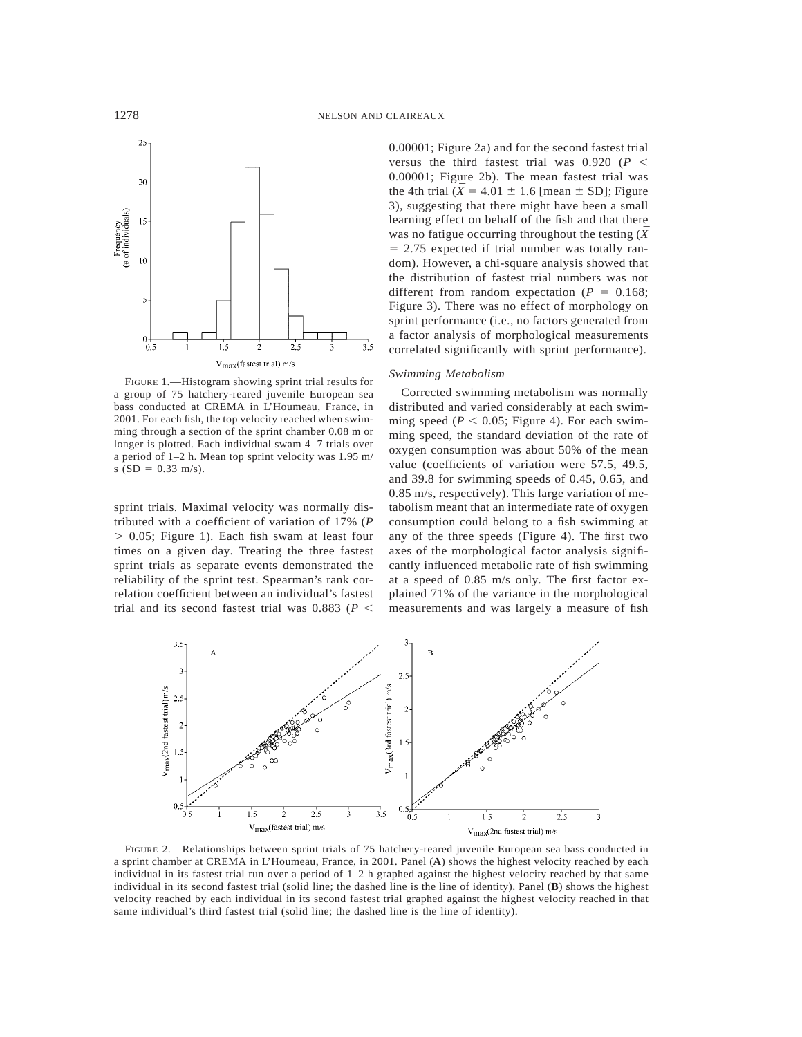

FIGURE 1.—Histogram showing sprint trial results for a group of 75 hatchery-reared juvenile European sea bass conducted at CREMA in L'Houmeau, France, in 2001. For each fish, the top velocity reached when swimming through a section of the sprint chamber 0.08 m or longer is plotted. Each individual swam 4–7 trials over a period of 1–2 h. Mean top sprint velocity was 1.95 m/ s  $(SD = 0.33$  m/s).

sprint trials. Maximal velocity was normally distributed with a coefficient of variation of 17% (*P*  $> 0.05$ ; Figure 1). Each fish swam at least four times on a given day. Treating the three fastest sprint trials as separate events demonstrated the reliability of the sprint test. Spearman's rank correlation coefficient between an individual's fastest trial and its second fastest trial was 0.883 ( $P$  <

0.00001; Figure 2a) and for the second fastest trial versus the third fastest trial was  $0.920$  ( $P <$ 0.00001; Figure 2b). The mean fastest trial was the 4th trial ( $\bar{X}$  = 4.01  $\pm$  1.6 [mean  $\pm$  SD]; Figure 3), suggesting that there might have been a small learning effect on behalf of the fish and that there was no fatigue occurring throughout the testing  $(\bar{X}$  $= 2.75$  expected if trial number was totally random). However, a chi-square analysis showed that the distribution of fastest trial numbers was not different from random expectation  $(P = 0.168)$ ; Figure 3). There was no effect of morphology on sprint performance (i.e., no factors generated from a factor analysis of morphological measurements correlated significantly with sprint performance).

#### *Swimming Metabolism*

Corrected swimming metabolism was normally distributed and varied considerably at each swimming speed ( $P < 0.05$ ; Figure 4). For each swimming speed, the standard deviation of the rate of oxygen consumption was about 50% of the mean value (coefficients of variation were 57.5, 49.5, and 39.8 for swimming speeds of 0.45, 0.65, and 0.85 m/s, respectively). This large variation of metabolism meant that an intermediate rate of oxygen consumption could belong to a fish swimming at any of the three speeds (Figure 4). The first two axes of the morphological factor analysis significantly influenced metabolic rate of fish swimming at a speed of 0.85 m/s only. The first factor explained 71% of the variance in the morphological measurements and was largely a measure of fish



FIGURE 2.—Relationships between sprint trials of 75 hatchery-reared juvenile European sea bass conducted in a sprint chamber at CREMA in L'Houmeau, France, in 2001. Panel (**A**) shows the highest velocity reached by each individual in its fastest trial run over a period of 1–2 h graphed against the highest velocity reached by that same individual in its second fastest trial (solid line; the dashed line is the line of identity). Panel (**B**) shows the highest velocity reached by each individual in its second fastest trial graphed against the highest velocity reached in that same individual's third fastest trial (solid line; the dashed line is the line of identity).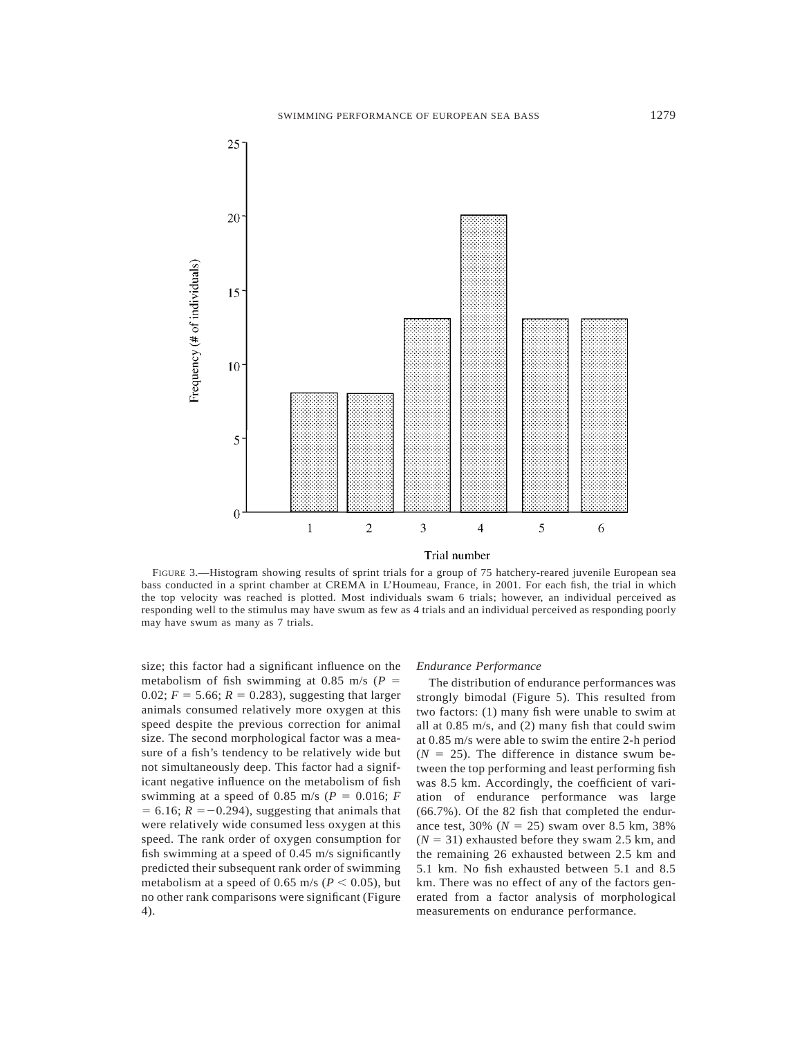

FIGURE 3.—Histogram showing results of sprint trials for a group of 75 hatchery-reared juvenile European sea bass conducted in a sprint chamber at CREMA in L'Houmeau, France, in 2001. For each fish, the trial in which the top velocity was reached is plotted. Most individuals swam 6 trials; however, an individual perceived as responding well to the stimulus may have swum as few as 4 trials and an individual perceived as responding poorly may have swum as many as 7 trials.

size; this factor had a significant influence on the metabolism of fish swimming at 0.85 m/s ( $P =$ 0.02;  $F = 5.66$ ;  $R = 0.283$ ), suggesting that larger animals consumed relatively more oxygen at this speed despite the previous correction for animal size. The second morphological factor was a measure of a fish's tendency to be relatively wide but not simultaneously deep. This factor had a significant negative influence on the metabolism of fish swimming at a speed of 0.85 m/s ( $P = 0.016$ ;  $F = 0.016$ )  $= 6.16$ ;  $R = -0.294$ ), suggesting that animals that were relatively wide consumed less oxygen at this speed. The rank order of oxygen consumption for fish swimming at a speed of 0.45 m/s significantly predicted their subsequent rank order of swimming metabolism at a speed of 0.65 m/s ( $P < 0.05$ ), but no other rank comparisons were significant (Figure 4).

#### *Endurance Performance*

The distribution of endurance performances was strongly bimodal (Figure 5). This resulted from two factors: (1) many fish were unable to swim at all at 0.85 m/s, and (2) many fish that could swim at 0.85 m/s were able to swim the entire 2-h period  $(N = 25)$ . The difference in distance swum between the top performing and least performing fish was 8.5 km. Accordingly, the coefficient of variation of endurance performance was large (66.7%). Of the 82 fish that completed the endurance test,  $30\%$  ( $N = 25$ ) swam over 8.5 km, 38%  $(N = 31)$  exhausted before they swam 2.5 km, and the remaining 26 exhausted between 2.5 km and 5.1 km. No fish exhausted between 5.1 and 8.5 km. There was no effect of any of the factors generated from a factor analysis of morphological measurements on endurance performance.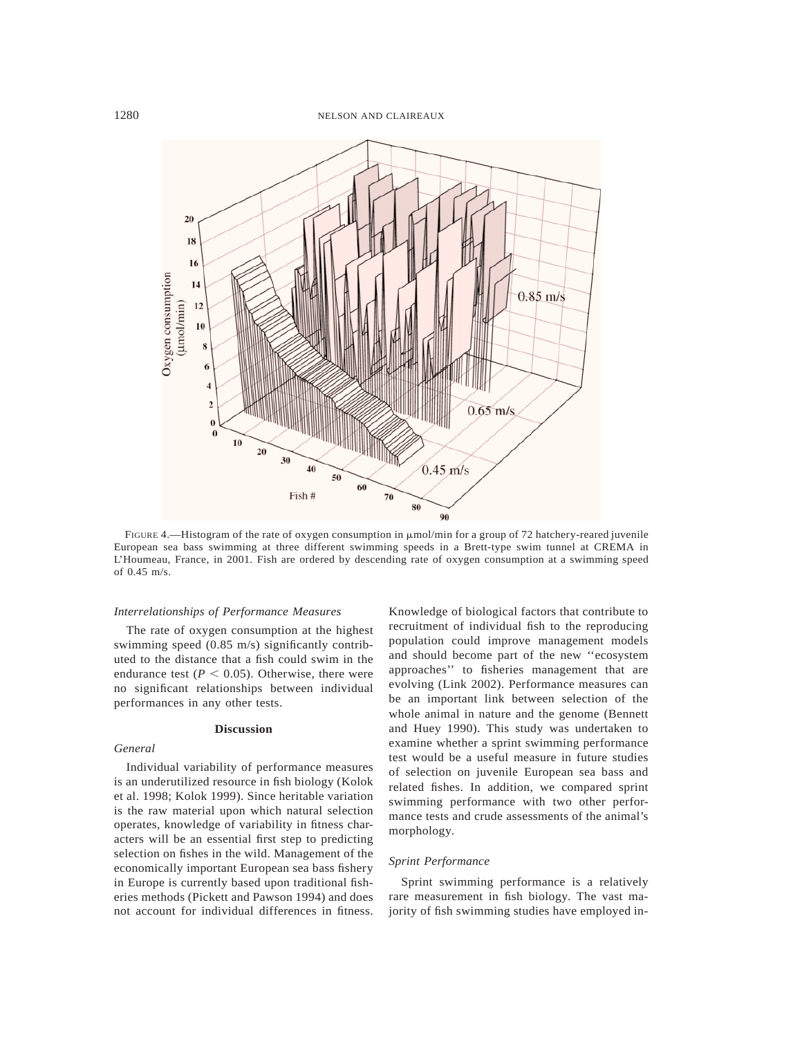

FIGURE 4.—Histogram of the rate of oxygen consumption in  $\mu$ mol/min for a group of 72 hatchery-reared juvenile European sea bass swimming at three different swimming speeds in a Brett-type swim tunnel at CREMA in L'Houmeau, France, in 2001. Fish are ordered by descending rate of oxygen consumption at a swimming speed of 0.45 m/s.

#### *Interrelationships of Performance Measures*

The rate of oxygen consumption at the highest swimming speed (0.85 m/s) significantly contributed to the distance that a fish could swim in the endurance test  $(P < 0.05)$ . Otherwise, there were no significant relationships between individual performances in any other tests.

## **Discussion**

## *General*

Individual variability of performance measures is an underutilized resource in fish biology (Kolok et al. 1998; Kolok 1999). Since heritable variation is the raw material upon which natural selection operates, knowledge of variability in fitness characters will be an essential first step to predicting selection on fishes in the wild. Management of the economically important European sea bass fishery in Europe is currently based upon traditional fisheries methods (Pickett and Pawson 1994) and does not account for individual differences in fitness.

Knowledge of biological factors that contribute to recruitment of individual fish to the reproducing population could improve management models and should become part of the new ''ecosystem approaches'' to fisheries management that are evolving (Link 2002). Performance measures can be an important link between selection of the whole animal in nature and the genome (Bennett and Huey 1990). This study was undertaken to examine whether a sprint swimming performance test would be a useful measure in future studies of selection on juvenile European sea bass and related fishes. In addition, we compared sprint swimming performance with two other performance tests and crude assessments of the animal's morphology.

## *Sprint Performance*

Sprint swimming performance is a relatively rare measurement in fish biology. The vast majority of fish swimming studies have employed in-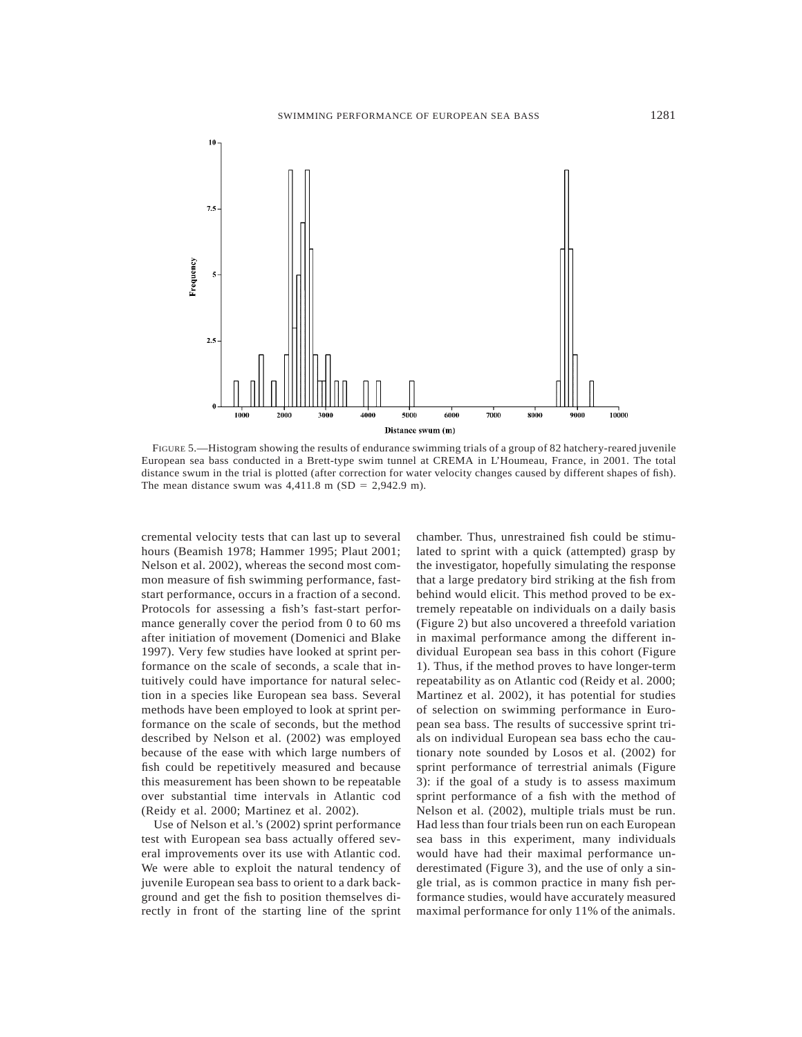

FIGURE 5.—Histogram showing the results of endurance swimming trials of a group of 82 hatchery-reared juvenile European sea bass conducted in a Brett-type swim tunnel at CREMA in L'Houmeau, France, in 2001. The total distance swum in the trial is plotted (after correction for water velocity changes caused by different shapes of fish). The mean distance swum was  $4,411.8$  m (SD = 2,942.9 m).

cremental velocity tests that can last up to several hours (Beamish 1978; Hammer 1995; Plaut 2001; Nelson et al. 2002), whereas the second most common measure of fish swimming performance, faststart performance, occurs in a fraction of a second. Protocols for assessing a fish's fast-start performance generally cover the period from 0 to 60 ms after initiation of movement (Domenici and Blake 1997). Very few studies have looked at sprint performance on the scale of seconds, a scale that intuitively could have importance for natural selection in a species like European sea bass. Several methods have been employed to look at sprint performance on the scale of seconds, but the method described by Nelson et al. (2002) was employed because of the ease with which large numbers of fish could be repetitively measured and because this measurement has been shown to be repeatable over substantial time intervals in Atlantic cod (Reidy et al. 2000; Martinez et al. 2002).

Use of Nelson et al.'s (2002) sprint performance test with European sea bass actually offered several improvements over its use with Atlantic cod. We were able to exploit the natural tendency of juvenile European sea bass to orient to a dark background and get the fish to position themselves directly in front of the starting line of the sprint chamber. Thus, unrestrained fish could be stimulated to sprint with a quick (attempted) grasp by the investigator, hopefully simulating the response that a large predatory bird striking at the fish from behind would elicit. This method proved to be extremely repeatable on individuals on a daily basis (Figure 2) but also uncovered a threefold variation in maximal performance among the different individual European sea bass in this cohort (Figure 1). Thus, if the method proves to have longer-term repeatability as on Atlantic cod (Reidy et al. 2000; Martinez et al. 2002), it has potential for studies of selection on swimming performance in European sea bass. The results of successive sprint trials on individual European sea bass echo the cautionary note sounded by Losos et al. (2002) for sprint performance of terrestrial animals (Figure 3): if the goal of a study is to assess maximum sprint performance of a fish with the method of Nelson et al. (2002), multiple trials must be run. Had less than four trials been run on each European sea bass in this experiment, many individuals would have had their maximal performance underestimated (Figure 3), and the use of only a single trial, as is common practice in many fish performance studies, would have accurately measured maximal performance for only 11% of the animals.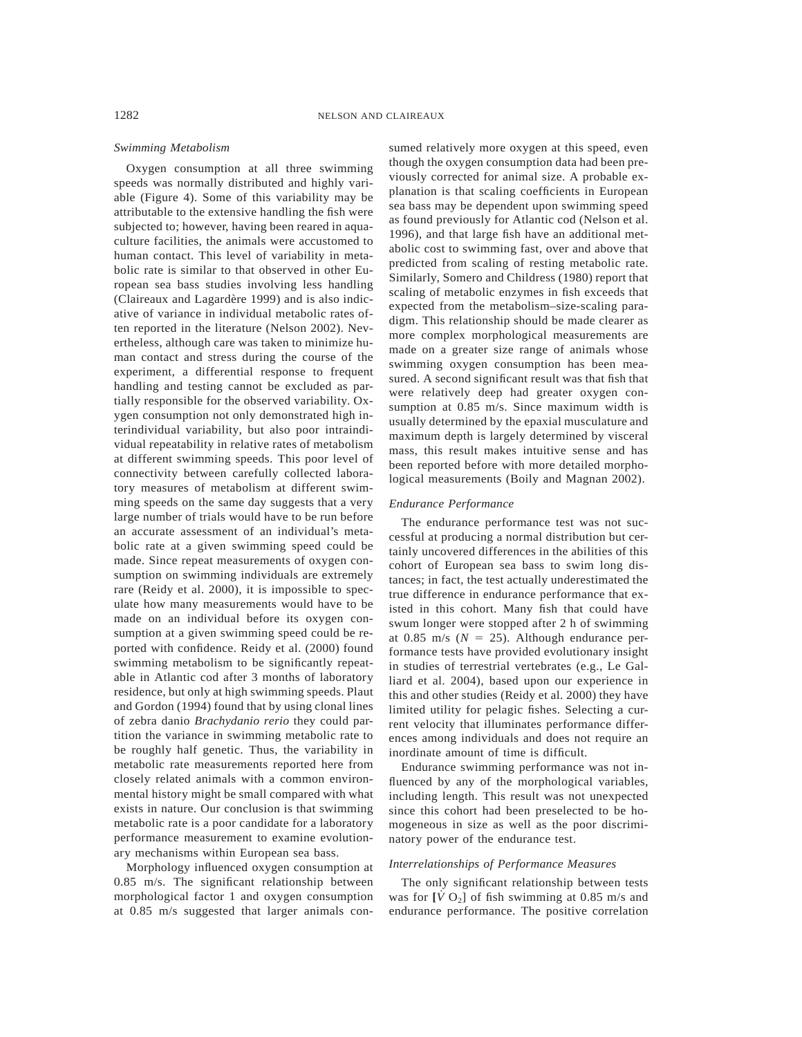## *Swimming Metabolism*

Oxygen consumption at all three swimming speeds was normally distributed and highly variable (Figure 4). Some of this variability may be attributable to the extensive handling the fish were subjected to; however, having been reared in aquaculture facilities, the animals were accustomed to human contact. This level of variability in metabolic rate is similar to that observed in other European sea bass studies involving less handling (Claireaux and Lagardère 1999) and is also indicative of variance in individual metabolic rates often reported in the literature (Nelson 2002). Nevertheless, although care was taken to minimize human contact and stress during the course of the experiment, a differential response to frequent handling and testing cannot be excluded as partially responsible for the observed variability. Oxygen consumption not only demonstrated high interindividual variability, but also poor intraindividual repeatability in relative rates of metabolism at different swimming speeds. This poor level of connectivity between carefully collected laboratory measures of metabolism at different swimming speeds on the same day suggests that a very large number of trials would have to be run before an accurate assessment of an individual's metabolic rate at a given swimming speed could be made. Since repeat measurements of oxygen consumption on swimming individuals are extremely rare (Reidy et al. 2000), it is impossible to speculate how many measurements would have to be made on an individual before its oxygen consumption at a given swimming speed could be reported with confidence. Reidy et al. (2000) found swimming metabolism to be significantly repeatable in Atlantic cod after 3 months of laboratory residence, but only at high swimming speeds. Plaut and Gordon (1994) found that by using clonal lines of zebra danio *Brachydanio rerio* they could partition the variance in swimming metabolic rate to be roughly half genetic. Thus, the variability in metabolic rate measurements reported here from closely related animals with a common environmental history might be small compared with what exists in nature. Our conclusion is that swimming metabolic rate is a poor candidate for a laboratory performance measurement to examine evolutionary mechanisms within European sea bass.

Morphology influenced oxygen consumption at 0.85 m/s. The significant relationship between morphological factor 1 and oxygen consumption at 0.85 m/s suggested that larger animals consumed relatively more oxygen at this speed, even though the oxygen consumption data had been previously corrected for animal size. A probable explanation is that scaling coefficients in European sea bass may be dependent upon swimming speed as found previously for Atlantic cod (Nelson et al. 1996), and that large fish have an additional metabolic cost to swimming fast, over and above that predicted from scaling of resting metabolic rate. Similarly, Somero and Childress (1980) report that scaling of metabolic enzymes in fish exceeds that expected from the metabolism–size-scaling paradigm. This relationship should be made clearer as more complex morphological measurements are made on a greater size range of animals whose swimming oxygen consumption has been measured. A second significant result was that fish that were relatively deep had greater oxygen consumption at 0.85 m/s. Since maximum width is usually determined by the epaxial musculature and maximum depth is largely determined by visceral mass, this result makes intuitive sense and has been reported before with more detailed morphological measurements (Boily and Magnan 2002).

#### *Endurance Performance*

The endurance performance test was not successful at producing a normal distribution but certainly uncovered differences in the abilities of this cohort of European sea bass to swim long distances; in fact, the test actually underestimated the true difference in endurance performance that existed in this cohort. Many fish that could have swum longer were stopped after 2 h of swimming at  $0.85$  m/s ( $N = 25$ ). Although endurance performance tests have provided evolutionary insight in studies of terrestrial vertebrates (e.g., Le Galliard et al. 2004), based upon our experience in this and other studies (Reidy et al. 2000) they have limited utility for pelagic fishes. Selecting a current velocity that illuminates performance differences among individuals and does not require an inordinate amount of time is difficult.

Endurance swimming performance was not influenced by any of the morphological variables, including length. This result was not unexpected since this cohort had been preselected to be homogeneous in size as well as the poor discriminatory power of the endurance test.

## *Interrelationships of Performance Measures*

The only significant relationship between tests was for  $[\dot{V} O_2]$  of fish swimming at 0.85 m/s and endurance performance. The positive correlation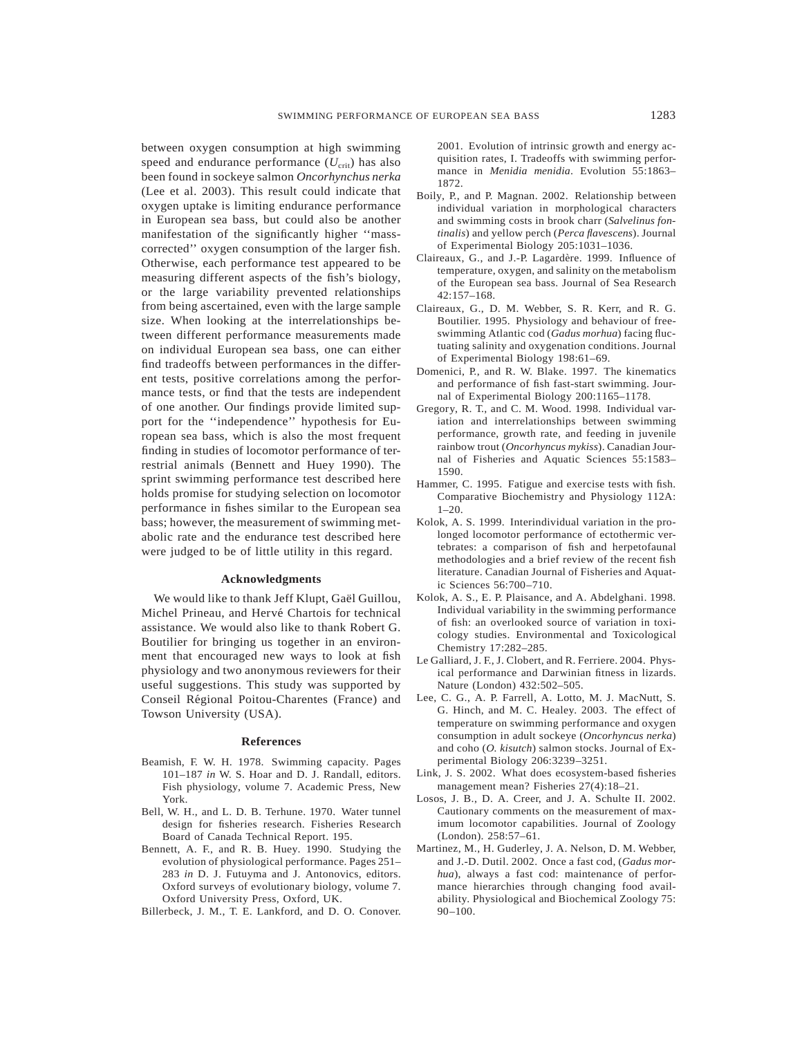between oxygen consumption at high swimming speed and endurance performance  $(U_{\text{crit}})$  has also been found in sockeye salmon *Oncorhynchus nerka* (Lee et al. 2003). This result could indicate that oxygen uptake is limiting endurance performance in European sea bass, but could also be another manifestation of the significantly higher ''masscorrected'' oxygen consumption of the larger fish. Otherwise, each performance test appeared to be measuring different aspects of the fish's biology, or the large variability prevented relationships from being ascertained, even with the large sample size. When looking at the interrelationships between different performance measurements made on individual European sea bass, one can either find tradeoffs between performances in the different tests, positive correlations among the performance tests, or find that the tests are independent of one another. Our findings provide limited support for the ''independence'' hypothesis for European sea bass, which is also the most frequent finding in studies of locomotor performance of terrestrial animals (Bennett and Huey 1990). The sprint swimming performance test described here holds promise for studying selection on locomotor performance in fishes similar to the European sea bass; however, the measurement of swimming metabolic rate and the endurance test described here were judged to be of little utility in this regard.

## **Acknowledgments**

We would like to thank Jeff Klupt, Gaël Guillou, Michel Prineau, and Hervé Chartois for technical assistance. We would also like to thank Robert G. Boutilier for bringing us together in an environment that encouraged new ways to look at fish physiology and two anonymous reviewers for their useful suggestions. This study was supported by Conseil Régional Poitou-Charentes (France) and Towson University (USA).

#### **References**

- Beamish, F. W. H. 1978. Swimming capacity. Pages 101–187 *in* W. S. Hoar and D. J. Randall, editors. Fish physiology, volume 7. Academic Press, New York.
- Bell, W. H., and L. D. B. Terhune. 1970. Water tunnel design for fisheries research. Fisheries Research Board of Canada Technical Report. 195.
- Bennett, A. F., and R. B. Huey. 1990. Studying the evolution of physiological performance. Pages 251– 283 *in* D. J. Futuyma and J. Antonovics, editors. Oxford surveys of evolutionary biology, volume 7. Oxford University Press, Oxford, UK.

Billerbeck, J. M., T. E. Lankford, and D. O. Conover.

2001. Evolution of intrinsic growth and energy acquisition rates, I. Tradeoffs with swimming performance in *Menidia menidia*. Evolution 55:1863– 1872.

- Boily, P., and P. Magnan. 2002. Relationship between individual variation in morphological characters and swimming costs in brook charr (*Salvelinus fontinalis*) and yellow perch (*Perca flavescens*). Journal of Experimental Biology 205:1031–1036.
- Claireaux, G., and J.-P. Lagardère. 1999. Influence of temperature, oxygen, and salinity on the metabolism of the European sea bass. Journal of Sea Research 42:157–168.
- Claireaux, G., D. M. Webber, S. R. Kerr, and R. G. Boutilier. 1995. Physiology and behaviour of freeswimming Atlantic cod (*Gadus morhua*) facing fluctuating salinity and oxygenation conditions. Journal of Experimental Biology 198:61–69.
- Domenici, P., and R. W. Blake. 1997. The kinematics and performance of fish fast-start swimming. Journal of Experimental Biology 200:1165–1178.
- Gregory, R. T., and C. M. Wood. 1998. Individual variation and interrelationships between swimming performance, growth rate, and feeding in juvenile rainbow trout (*Oncorhyncus mykiss*). Canadian Journal of Fisheries and Aquatic Sciences 55:1583– 1590.
- Hammer, C. 1995. Fatigue and exercise tests with fish. Comparative Biochemistry and Physiology 112A: 1–20.
- Kolok, A. S. 1999. Interindividual variation in the prolonged locomotor performance of ectothermic vertebrates: a comparison of fish and herpetofaunal methodologies and a brief review of the recent fish literature. Canadian Journal of Fisheries and Aquatic Sciences 56:700–710.
- Kolok, A. S., E. P. Plaisance, and A. Abdelghani. 1998. Individual variability in the swimming performance of fish: an overlooked source of variation in toxicology studies. Environmental and Toxicological Chemistry 17:282–285.
- Le Galliard, J. F., J. Clobert, and R. Ferriere. 2004. Physical performance and Darwinian fitness in lizards. Nature (London) 432:502–505.
- Lee, C. G., A. P. Farrell, A. Lotto, M. J. MacNutt, S. G. Hinch, and M. C. Healey. 2003. The effect of temperature on swimming performance and oxygen consumption in adult sockeye (*Oncorhyncus nerka*) and coho (*O. kisutch*) salmon stocks. Journal of Experimental Biology 206:3239–3251.
- Link, J. S. 2002. What does ecosystem-based fisheries management mean? Fisheries 27(4):18–21.
- Losos, J. B., D. A. Creer, and J. A. Schulte II. 2002. Cautionary comments on the measurement of maximum locomotor capabilities. Journal of Zoology (London). 258:57–61.
- Martinez, M., H. Guderley, J. A. Nelson, D. M. Webber, and J.-D. Dutil. 2002. Once a fast cod, (*Gadus morhua*), always a fast cod: maintenance of performance hierarchies through changing food availability. Physiological and Biochemical Zoology 75: 90–100.